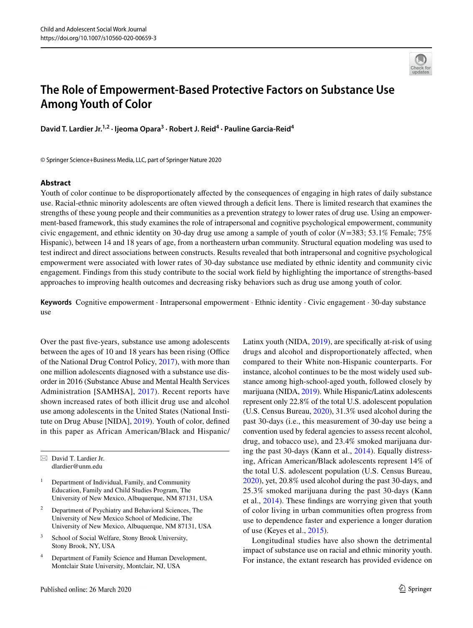

# **The Role of Empowerment‑Based Protective Factors on Substance Use Among Youth of Color**

David T. Lardier Jr.<sup>1,2</sup> · Ijeoma Opara<sup>3</sup> · Robert J. Reid<sup>4</sup> · Pauline Garcia-Reid<sup>4</sup>

© Springer Science+Business Media, LLC, part of Springer Nature 2020

#### **Abstract**

Youth of color continue to be disproportionately afected by the consequences of engaging in high rates of daily substance use. Racial-ethnic minority adolescents are often viewed through a defcit lens. There is limited research that examines the strengths of these young people and their communities as a prevention strategy to lower rates of drug use. Using an empowerment-based framework, this study examines the role of intrapersonal and cognitive psychological empowerment, community civic engagement, and ethnic identity on 30-day drug use among a sample of youth of color (*N*=383; 53.1% Female; 75% Hispanic), between 14 and 18 years of age, from a northeastern urban community. Structural equation modeling was used to test indirect and direct associations between constructs. Results revealed that both intrapersonal and cognitive psychological empowerment were associated with lower rates of 30-day substance use mediated by ethnic identity and community civic engagement. Findings from this study contribute to the social work feld by highlighting the importance of strengths-based approaches to improving health outcomes and decreasing risky behaviors such as drug use among youth of color.

**Keywords** Cognitive empowerment · Intrapersonal empowerment · Ethnic identity · Civic engagement · 30-day substance use

Over the past fve-years, substance use among adolescents between the ages of 10 and 18 years has been rising (Office of the National Drug Control Policy, [2017](#page-13-0)), with more than one million adolescents diagnosed with a substance use disorder in 2016 (Substance Abuse and Mental Health Services Administration [SAMHSA], [2017\)](#page-14-0). Recent reports have shown increased rates of both illicit drug use and alcohol use among adolescents in the United States (National Institute on Drug Abuse [NIDA], [2019](#page-13-1)). Youth of color, defned in this paper as African American/Black and Hispanic/

 $\boxtimes$  David T. Lardier Jr. dlardier@unm.edu

<sup>1</sup> Department of Individual, Family, and Community Education, Family and Child Studies Program, The University of New Mexico, Albuquerque, NM 87131, USA

- <sup>2</sup> Department of Psychiatry and Behavioral Sciences, The University of New Mexico School of Medicine, The University of New Mexico, Albuquerque, NM 87131, USA
- <sup>3</sup> School of Social Welfare, Stony Brook University, Stony Brook, NY, USA
- <sup>4</sup> Department of Family Science and Human Development, Montclair State University, Montclair, NJ, USA

Latinx youth (NIDA, [2019\)](#page-13-1), are specifcally at-risk of using drugs and alcohol and disproportionately afected, when compared to their White non-Hispanic counterparts. For instance, alcohol continues to be the most widely used substance among high-school-aged youth, followed closely by marijuana (NIDA, [2019](#page-13-1)). While Hispanic/Latinx adolescents represent only 22.8% of the total U.S. adolescent population (U.S. Census Bureau, [2020\)](#page-14-1), 31.3% used alcohol during the past 30-days (i.e., this measurement of 30-day use being a convention used by federal agencies to assess recent alcohol, drug, and tobacco use), and 23.4% smoked marijuana during the past 30-days (Kann et al., [2014\)](#page-12-0). Equally distressing, African American/Black adolescents represent 14% of the total U.S. adolescent population (U.S. Census Bureau, [2020](#page-14-1)), yet, 20.8% used alcohol during the past 30-days, and 25.3% smoked marijuana during the past 30-days (Kann et al., [2014\)](#page-12-0). These fndings are worrying given that youth of color living in urban communities often progress from use to dependence faster and experience a longer duration of use (Keyes et al., [2015](#page-12-1)).

Longitudinal studies have also shown the detrimental impact of substance use on racial and ethnic minority youth. For instance, the extant research has provided evidence on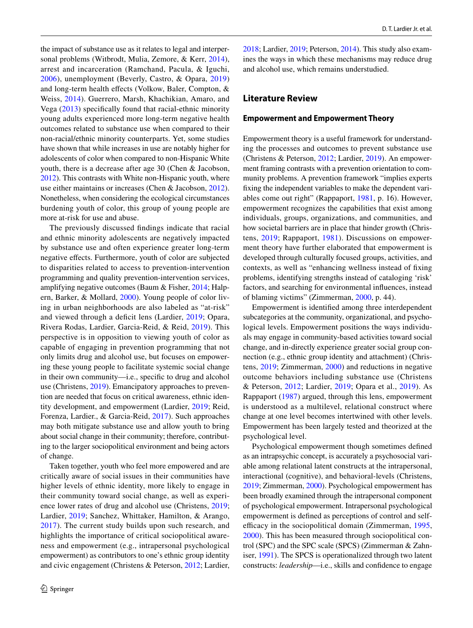the impact of substance use as it relates to legal and interpersonal problems (Witbrodt, Mulia, Zemore, & Kerr, [2014](#page-14-2)), arrest and incarceration (Ramchand, Pacula, & Iguchi, [2006\)](#page-13-2), unemployment (Beverly, Castro, & Opara, [2019\)](#page-11-0) and long-term health effects (Volkow, Baler, Compton, & Weiss, [2014](#page-14-3)). Guerrero, Marsh, Khachikian, Amaro, and Vega ([2013\)](#page-12-2) specifcally found that racial-ethnic minority young adults experienced more long-term negative health outcomes related to substance use when compared to their non-racial/ethnic minority counterparts. Yet, some studies have shown that while increases in use are notably higher for adolescents of color when compared to non-Hispanic White youth, there is a decrease after age 30 (Chen & Jacobson, [2012\)](#page-12-3). This contrasts with White non-Hispanic youth, where use either maintains or increases (Chen & Jacobson, [2012](#page-12-3)). Nonetheless, when considering the ecological circumstances burdening youth of color, this group of young people are more at-risk for use and abuse.

The previously discussed fndings indicate that racial and ethnic minority adolescents are negatively impacted by substance use and often experience greater long-term negative efects. Furthermore, youth of color are subjected to disparities related to access to prevention-intervention programming and quality prevention-intervention services, amplifying negative outcomes (Baum & Fisher, [2014](#page-11-1); Halpern, Barker, & Mollard, [2000\)](#page-12-4). Young people of color living in urban neighborhoods are also labeled as "at-risk" and viewed through a deficit lens (Lardier, [2019](#page-13-3); Opara, Rivera Rodas, Lardier, Garcia-Reid, & Reid, [2019\)](#page-13-4). This perspective is in opposition to viewing youth of color as capable of engaging in prevention programming that not only limits drug and alcohol use, but focuses on empowering these young people to facilitate systemic social change in their own community—i.e., specifc to drug and alcohol use (Christens, [2019\)](#page-12-5). Emancipatory approaches to prevention are needed that focus on critical awareness, ethnic identity development, and empowerment (Lardier, [2019](#page-13-3); Reid, Forenza, Lardier., & Garcia-Reid, [2017](#page-13-5)). Such approaches may both mitigate substance use and allow youth to bring about social change in their community; therefore, contributing to the larger sociopolitical environment and being actors of change.

Taken together, youth who feel more empowered and are critically aware of social issues in their communities have higher levels of ethnic identity, more likely to engage in their community toward social change, as well as experience lower rates of drug and alcohol use (Christens, [2019](#page-12-5); Lardier, [2019;](#page-13-3) Sanchez, Whittaker, Hamilton, & Arango, [2017\)](#page-14-4). The current study builds upon such research, and highlights the importance of critical sociopolitical awareness and empowerment (e.g., intrapersonal psychological empowerment) as contributors to one's ethnic group identity and civic engagement (Christens & Peterson, [2012](#page-12-6); Lardier,

[2018](#page-13-6); Lardier, [2019](#page-13-3); Peterson, [2014](#page-13-7)). This study also examines the ways in which these mechanisms may reduce drug and alcohol use, which remains understudied.

#### **Literature Review**

#### **Empowerment and Empowerment Theory**

Empowerment theory is a useful framework for understanding the processes and outcomes to prevent substance use (Christens & Peterson, [2012;](#page-12-6) Lardier, [2019\)](#page-13-3). An empowerment framing contrasts with a prevention orientation to community problems. A prevention framework "implies experts fxing the independent variables to make the dependent variables come out right" (Rappaport, [1981](#page-13-8), p. 16). However, empowerment recognizes the capabilities that exist among individuals, groups, organizations, and communities, and how societal barriers are in place that hinder growth (Christens, [2019;](#page-12-5) Rappaport, [1981\)](#page-13-8). Discussions on empowerment theory have further elaborated that empowerment is developed through culturally focused groups, activities, and contexts, as well as "enhancing wellness instead of fxing problems, identifying strengths instead of cataloging 'risk' factors, and searching for environmental infuences, instead of blaming victims" (Zimmerman, [2000,](#page-14-5) p. 44).

Empowerment is identifed among three interdependent subcategories at the community, organizational, and psychological levels. Empowerment positions the ways individuals may engage in community-based activities toward social change, and in-directly experience greater social group connection (e.g., ethnic group identity and attachment) (Christens, [2019](#page-12-5); Zimmerman, [2000](#page-14-5)) and reductions in negative outcome behaviors including substance use (Christens & Peterson, [2012](#page-12-6); Lardier, [2019](#page-13-3); Opara et al., [2019\)](#page-13-4). As Rappaport ([1987\)](#page-13-9) argued, through this lens, empowerment is understood as a multilevel, relational construct where change at one level becomes intertwined with other levels. Empowerment has been largely tested and theorized at the psychological level.

Psychological empowerment though sometimes defned as an intrapsychic concept, is accurately a psychosocial variable among relational latent constructs at the intrapersonal, interactional (cognitive), and behavioral-levels (Christens, [2019](#page-12-5); Zimmerman, [2000\)](#page-14-5). Psychological empowerment has been broadly examined through the intrapersonal component of psychological empowerment. Intrapersonal psychological empowerment is defned as perceptions of control and self-efficacy in the sociopolitical domain (Zimmerman, [1995,](#page-14-6) [2000](#page-14-5)). This has been measured through sociopolitical control (SPC) and the SPC scale (SPCS) (Zimmerman & Zahniser, [1991](#page-14-7)). The SPCS is operationalized through two latent constructs: *leadership*—i.e., skills and confdence to engage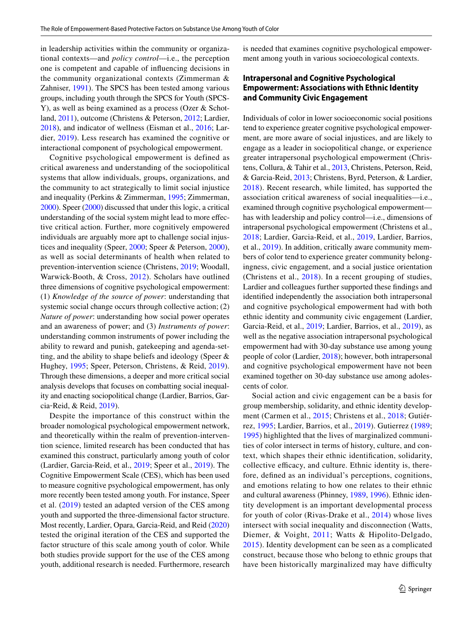in leadership activities within the community or organizational contexts—and *policy control*—i.e., the perception one is competent and capable of infuencing decisions in the community organizational contexts (Zimmerman & Zahniser, [1991\)](#page-14-7). The SPCS has been tested among various groups, including youth through the SPCS for Youth (SPCS-Y), as well as being examined as a process (Ozer & Schotland, [2011](#page-13-10)), outcome (Christens & Peterson, [2012](#page-12-6); Lardier, [2018](#page-13-6)), and indicator of wellness (Eisman et al., [2016](#page-12-7); Lardier, [2019\)](#page-13-3). Less research has examined the cognitive or interactional component of psychological empowerment.

Cognitive psychological empowerment is defined as critical awareness and understanding of the sociopolitical systems that allow individuals, groups, organizations, and the community to act strategically to limit social injustice and inequality (Perkins & Zimmerman, [1995](#page-13-11); Zimmerman, [2000\)](#page-14-5). Speer ([2000\)](#page-14-8) discussed that under this logic, a critical understanding of the social system might lead to more efective critical action. Further, more cognitively empowered individuals are arguably more apt to challenge social injustices and inequality (Speer, [2000;](#page-14-8) Speer & Peterson, [2000](#page-14-9)), as well as social determinants of health when related to prevention-intervention science (Christens, [2019](#page-12-5); Woodall, Warwick-Booth, & Cross, [2012](#page-14-10)). Scholars have outlined three dimensions of cognitive psychological empowerment: (1) *Knowledge of the source of power*: understanding that systemic social change occurs through collective action; (2) *Nature of power*: understanding how social power operates and an awareness of power; and (3) *Instruments of power*: understanding common instruments of power including the ability to reward and punish, gatekeeping and agenda-setting, and the ability to shape beliefs and ideology (Speer & Hughey, [1995](#page-14-11); Speer, Peterson, Christens, & Reid, [2019](#page-14-12)). Through these dimensions, a deeper and more critical social analysis develops that focuses on combatting social inequality and enacting sociopolitical change (Lardier, Barrios, Garcia‐Reid, & Reid, [2019\)](#page-13-12).

Despite the importance of this construct within the broader nomological psychological empowerment network, and theoretically within the realm of prevention-intervention science, limited research has been conducted that has examined this construct, particularly among youth of color (Lardier, Garcia-Reid, et al., [2019;](#page-13-13) Speer et al., [2019\)](#page-14-12). The Cognitive Empowerment Scale (CES), which has been used to measure cognitive psychological empowerment, has only more recently been tested among youth. For instance, Speer et al. ([2019](#page-14-12)) tested an adapted version of the CES among youth and supported the three-dimensional factor structure. Most recently, Lardier, Opara, Garcia-Reid, and Reid ([2020\)](#page-13-14) tested the original iteration of the CES and supported the factor structure of this scale among youth of color. While both studies provide support for the use of the CES among youth, additional research is needed. Furthermore, research is needed that examines cognitive psychological empowerment among youth in various socioecological contexts.

## **Intrapersonal and Cognitive Psychological Empowerment: Associations with Ethnic Identity and Community Civic Engagement**

Individuals of color in lower socioeconomic social positions tend to experience greater cognitive psychological empowerment, are more aware of social injustices, and are likely to engage as a leader in sociopolitical change, or experience greater intrapersonal psychological empowerment (Christens, Collura, & Tahir et al., [2013,](#page-12-8) Christens, Peterson, Reid, & Garcia-Reid, [2013](#page-12-9); Christens, Byrd, Peterson, & Lardier, [2018\)](#page-12-10). Recent research, while limited, has supported the association critical awareness of social inequalities—i.e., examined through cognitive psychological empowerment has with leadership and policy control—i.e., dimensions of intrapersonal psychological empowerment (Christens et al., [2018;](#page-12-10) Lardier, Garcia-Reid, et al., [2019](#page-13-13), Lardier, Barrios, et al., [2019\)](#page-13-12). In addition, critically aware community members of color tend to experience greater community belongingness, civic engagement, and a social justice orientation (Christens et al., [2018\)](#page-12-10). In a recent grouping of studies, Lardier and colleagues further supported these fndings and identifed independently the association both intrapersonal and cognitive psychological empowerment had with both ethnic identity and community civic engagement (Lardier, Garcia-Reid, et al., [2019](#page-13-13); Lardier, Barrios, et al., [2019](#page-13-12)), as well as the negative association intrapersonal psychological empowerment had with 30-day substance use among young people of color (Lardier, [2018\)](#page-13-6); however, both intrapersonal and cognitive psychological empowerment have not been examined together on 30-day substance use among adolescents of color.

Social action and civic engagement can be a basis for group membership, solidarity, and ethnic identity development (Carmen et al., [2015;](#page-12-11) Christens et al., [2018;](#page-12-10) Gutiérrez, [1995;](#page-12-12) Lardier, Barrios, et al., [2019](#page-13-12)). Gutierrez ([1989](#page-12-13); [1995\)](#page-12-12) highlighted that the lives of marginalized communities of color intersect in terms of history, culture, and context, which shapes their ethnic identifcation, solidarity, collective efficacy, and culture. Ethnic identity is, therefore, defned as an individual's perceptions, cognitions, and emotions relating to how one relates to their ethnic and cultural awareness (Phinney, [1989](#page-13-15), [1996](#page-13-16)). Ethnic identity development is an important developmental process for youth of color (Rivas-Drake et al., [2014](#page-13-17)) whose lives intersect with social inequality and disconnection (Watts, Diemer, & Voight, [2011;](#page-14-13) Watts & Hipolito-Delgado, [2015\)](#page-14-14). Identity development can be seen as a complicated construct, because those who belong to ethnic groups that have been historically marginalized may have difficulty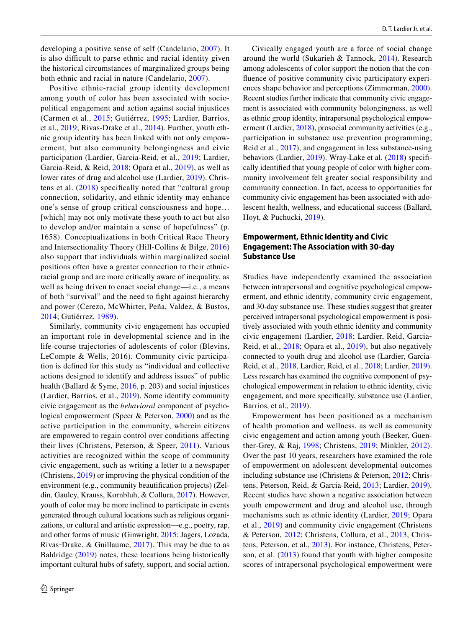developing a positive sense of self (Candelario, [2007\)](#page-12-14). It is also difficult to parse ethnic and racial identity given the historical circumstances of marginalized groups being both ethnic and racial in nature (Candelario, [2007\)](#page-12-14).

Positive ethnic-racial group identity development among youth of color has been associated with sociopolitical engagement and action against social injustices (Carmen et al., [2015](#page-12-11); Gutiérrez, [1995](#page-12-12); Lardier, Barrios, et al., [2019;](#page-13-12) Rivas-Drake et al., [2014\)](#page-13-17). Further, youth ethnic group identity has been linked with not only empowerment, but also community belongingness and civic participation (Lardier, Garcia-Reid, et al., [2019](#page-13-13); Lardier, Garcia-Reid, & Reid, [2018](#page-13-18); Opara et al., [2019\)](#page-13-4), as well as lower rates of drug and alcohol use (Lardier, [2019\)](#page-13-3). Christens et al. ([2018](#page-12-10)) specifcally noted that "cultural group connection, solidarity, and ethnic identity may enhance one's sense of group critical consciousness and hope… [which] may not only motivate these youth to act but also to develop and/or maintain a sense of hopefulness" (p. 1658). Conceptualizations in both Critical Race Theory and Intersectionality Theory (Hill-Collins & Bilge, [2016\)](#page-12-15) also support that individuals within marginalized social positions often have a greater connection to their ethnicracial group and are more critically aware of inequality, as well as being driven to enact social change—i.e., a means of both "survival" and the need to fght against hierarchy and power (Cerezo, McWhirter, Peña, Valdez, & Bustos, [2014;](#page-12-16) Gutiérrez, [1989](#page-12-13)).

Similarly, community civic engagement has occupied an important role in developmental science and in the life-course trajectories of adolescents of color (Blevins, LeCompte & Wells, 2016). Community civic participation is defned for this study as "individual and collective actions designed to identify and address issues" of public health (Ballard & Syme, [2016](#page-11-2), p. 203) and social injustices (Lardier, Barrios, et al., [2019\)](#page-13-12). Some identify community civic engagement as the *behavioral* component of psychological empowerment (Speer & Peterson, [2000\)](#page-14-9) and as the active participation in the community, wherein citizens are empowered to regain control over conditions afecting their lives (Christens, Peterson, & Speer, [2011\)](#page-12-17). Various activities are recognized within the scope of community civic engagement, such as writing a letter to a newspaper (Christens, [2019\)](#page-12-5) or improving the physical condition of the environment (e.g., community beautifcation projects) (Zeldin, Gauley, Krauss, Kornbluh, & Collura, [2017\)](#page-14-15). However, youth of color may be more inclined to participate in events generated through cultural locations such as religious organizations, or cultural and artistic expression—e.g., poetry, rap, and other forms of music (Ginwright, [2015](#page-12-18); Jagers, Lozada, Rivas‐Drake, & Guillaume, [2017\)](#page-12-19). This may be due to as Baldridge [\(2019\)](#page-11-3) notes, these locations being historically important cultural hubs of safety, support, and social action.

Civically engaged youth are a force of social change around the world (Sukarieh & Tannock, [2014\)](#page-14-16). Research among adolescents of color support the notion that the confluence of positive community civic participatory experiences shape behavior and perceptions (Zimmerman, [2000](#page-14-5)). Recent studies further indicate that community civic engagement is associated with community belongingness, as well as ethnic group identity, intrapersonal psychological empowerment (Lardier, [2018\)](#page-13-6), prosocial community activities (e.g., participation in substance use prevention programming; Reid et al., [2017](#page-13-5)), and engagement in less substance-using behaviors (Lardier, [2019](#page-13-3)). Wray-Lake et al. [\(2018](#page-14-17)) specifcally identifed that young people of color with higher community involvement felt greater social responsibility and community connection. In fact, access to opportunities for community civic engagement has been associated with adolescent health, wellness, and educational success (Ballard, Hoyt, & Puchucki, [2019\)](#page-11-4).

# **Empowerment, Ethnic Identity and Civic Engagement: The Association with 30‑day Substance Use**

Studies have independently examined the association between intrapersonal and cognitive psychological empowerment, and ethnic identity, community civic engagement, and 30-day substance use. These studies suggest that greater perceived intrapersonal psychological empowerment is positively associated with youth ethnic identity and community civic engagement (Lardier, [2018](#page-13-6); Lardier, Reid, Garcia‐ Reid, et al., [2018](#page-13-19); Opara et al., [2019](#page-13-4)), but also negatively connected to youth drug and alcohol use (Lardier, Garcia-Reid, et al., [2018](#page-13-18), Lardier, Reid, et al., [2018](#page-13-19); Lardier, [2019](#page-13-3)). Less research has examined the cognitive component of psychological empowerment in relation to ethnic identity, civic engagement, and more specifcally, substance use (Lardier, Barrios, et al., [2019](#page-13-12)).

Empowerment has been positioned as a mechanism of health promotion and wellness, as well as community civic engagement and action among youth (Beeker, Guenther-Grey, & Raj, [1998](#page-11-5); Christens, [2019](#page-12-5); Minkler, [2012](#page-13-20)). Over the past 10 years, researchers have examined the role of empowerment on adolescent developmental outcomes including substance use (Christens & Peterson, [2012](#page-12-6); Christens, Peterson, Reid, & Garcia-Reid, [2013;](#page-12-9) Lardier, [2019](#page-13-3)). Recent studies have shown a negative association between youth empowerment and drug and alcohol use, through mechanisms such as ethnic identity (Lardier, [2019;](#page-13-3) Opara et al., [2019\)](#page-13-4) and community civic engagement (Christens & Peterson, [2012;](#page-12-6) Christens, Collura, et al., [2013,](#page-12-8) Christens, Peterson, et al., [2013](#page-12-9)). For instance, Christens, Peterson, et al. ([2013](#page-12-9)) found that youth with higher composite scores of intrapersonal psychological empowerment were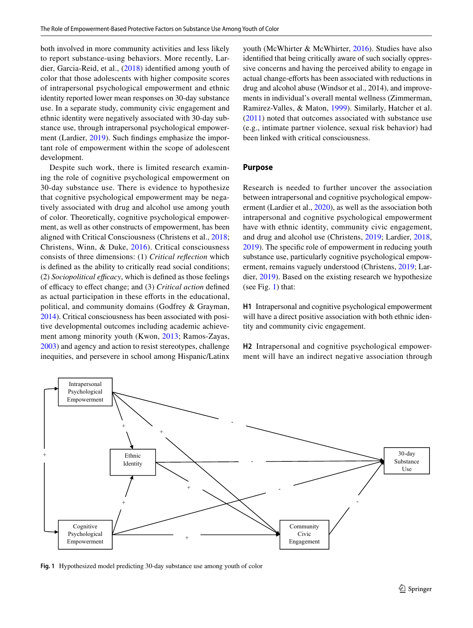both involved in more community activities and less likely to report substance-using behaviors. More recently, Lardier, Garcia-Reid, et al., [\(2018\)](#page-13-18) identifed among youth of color that those adolescents with higher composite scores of intrapersonal psychological empowerment and ethnic identity reported lower mean responses on 30-day substance use. In a separate study, community civic engagement and ethnic identity were negatively associated with 30-day substance use, through intrapersonal psychological empowerment (Lardier, [2019](#page-13-3)). Such fndings emphasize the important role of empowerment within the scope of adolescent development.

Despite such work, there is limited research examining the role of cognitive psychological empowerment on 30-day substance use. There is evidence to hypothesize that cognitive psychological empowerment may be negatively associated with drug and alcohol use among youth of color. Theoretically, cognitive psychological empowerment, as well as other constructs of empowerment, has been aligned with Critical Consciousness (Christens et al., [2018](#page-12-10); Christens, Winn, & Duke, [2016\)](#page-12-20). Critical consciousness consists of three dimensions: (1) *Critical refection* which is defned as the ability to critically read social conditions; (2) *Sociopolitical efficacy*, which is defined as those feelings of efficacy to effect change; and (3) *Critical action* defined as actual participation in these eforts in the educational, political, and community domains (Godfrey & Grayman, [2014\)](#page-12-21). Critical consciousness has been associated with positive developmental outcomes including academic achievement among minority youth (Kwon, [2013;](#page-13-21) Ramos-Zayas, [2003](#page-13-22)) and agency and action to resist stereotypes, challenge inequities, and persevere in school among Hispanic/Latinx youth (McWhirter & McWhirter, [2016\)](#page-13-23). Studies have also identifed that being critically aware of such socially oppressive concerns and having the perceived ability to engage in actual change-eforts has been associated with reductions in drug and alcohol abuse (Windsor et al., 2014), and improvements in individual's overall mental wellness (Zimmerman, Ramirez-Valles, & Maton, [1999](#page-14-18)). Similarly, Hatcher et al. ([2011\)](#page-12-22) noted that outcomes associated with substance use (e.g., intimate partner violence, sexual risk behavior) had been linked with critical consciousness.

#### **Purpose**

Research is needed to further uncover the association between intrapersonal and cognitive psychological empowerment (Lardier et al., [2020\)](#page-13-14), as well as the association both intrapersonal and cognitive psychological empowerment have with ethnic identity, community civic engagement, and drug and alcohol use (Christens, [2019](#page-12-5); Lardier, [2018,](#page-13-6) [2019](#page-13-3)). The specifc role of empowerment in reducing youth substance use, particularly cognitive psychological empowerment, remains vaguely understood (Christens, [2019;](#page-12-5) Lardier, [2019](#page-13-3)). Based on the existing research we hypothesize (see Fig. [1](#page-4-0)) that:

**H1** Intrapersonal and cognitive psychological empowerment will have a direct positive association with both ethnic identity and community civic engagement.

**H2** Intrapersonal and cognitive psychological empowerment will have an indirect negative association through



<span id="page-4-0"></span>**Fig. 1** Hypothesized model predicting 30-day substance use among youth of color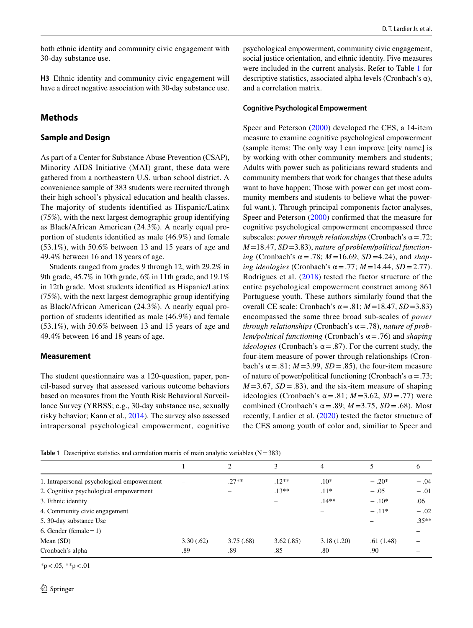both ethnic identity and community civic engagement with 30-day substance use.

**H3** Ethnic identity and community civic engagement will have a direct negative association with 30-day substance use.

## **Methods**

## **Sample and Design**

As part of a Center for Substance Abuse Prevention (CSAP), Minority AIDS Initiative (MAI) grant, these data were gathered from a northeastern U.S. urban school district. A convenience sample of 383 students were recruited through their high school's physical education and health classes. The majority of students identified as Hispanic/Latinx (75%), with the next largest demographic group identifying as Black/African American (24.3%). A nearly equal proportion of students identifed as male (46.9%) and female (53.1%), with 50.6% between 13 and 15 years of age and 49.4% between 16 and 18 years of age.

Students ranged from grades 9 through 12, with 29.2% in 9th grade, 45.7% in 10th grade, 6% in 11th grade, and 19.1% in 12th grade. Most students identifed as Hispanic/Latinx (75%), with the next largest demographic group identifying as Black/African American (24.3%). A nearly equal proportion of students identifed as male (46.9%) and female (53.1%), with 50.6% between 13 and 15 years of age and 49.4% between 16 and 18 years of age.

## **Measurement**

The student questionnaire was a 120-question, paper, pencil-based survey that assessed various outcome behaviors based on measures from the Youth Risk Behavioral Surveillance Survey (YRBSS; e.g., 30-day substance use, sexually risky behavior; Kann et al., [2014\)](#page-12-0). The survey also assessed intrapersonal psychological empowerment, cognitive

psychological empowerment, community civic engagement, social justice orientation, and ethnic identity. Five measures were included in the current analysis. Refer to Table [1](#page-5-0) for descriptive statistics, associated alpha levels (Cronbach's  $\alpha$ ), and a correlation matrix.

#### **Cognitive Psychological Empowerment**

Speer and Peterson [\(2000](#page-14-9)) developed the CES, a 14-item measure to examine cognitive psychological empowerment (sample items: The only way I can improve [city name] is by working with other community members and students; Adults with power such as politicians reward students and community members that work for changes that these adults want to have happen; Those with power can get most community members and students to believe what the powerful want.). Through principal components factor analyses, Speer and Peterson [\(2000](#page-14-9)) confrmed that the measure for cognitive psychological empowerment encompassed three subscales: *power through relationships* (Cronbach's α=.72; *M*=18.47, *SD*=3.83), *nature of problem/political functioning* (Cronbach's  $\alpha = .78$ ;  $M = 16.69$ ,  $SD = 4.24$ ), and *shaping ideologies* (Cronbach's  $\alpha$  = .77;  $M$  =14.44,  $SD$  = 2.77). Rodrigues et al. [\(2018](#page-14-19)) tested the factor structure of the entire psychological empowerment construct among 861 Portuguese youth. These authors similarly found that the overall CE scale: Cronbach's  $\alpha$  = .81;  $M$  = 18.47, *SD* = 3.83) encompassed the same three broad sub-scales of *power through relationships* (Cronbach's α=.78), *nature of problem/political functioning* (Cronbach's α=.76) and *shaping ideologies* (Cronbach's  $\alpha$  = .87). For the current study, the four-item measure of power through relationships (Cronbach's  $\alpha$  = .81; *M* = 3.99, *SD* = .85), the four-item measure of nature of power/political functioning (Cronbach's  $\alpha = .73$ ;  $M = 3.67$ ,  $SD = .83$ ), and the six-item measure of shaping ideologies (Cronbach's  $\alpha$  = .81;  $M$  = 3.62,  $SD$  = .77) were combined (Cronbach's  $\alpha$  = .89; *M* = 3.75, *SD* = .68). Most recently, Lardier et al. ([2020\)](#page-13-14) tested the factor structure of the CES among youth of color and, similiar to Speer and

<span id="page-5-0"></span>**Table 1** Descriptive statistics and correlation matrix of main analytic variables (N=383)

|                                            |           |           |           | 4          |           | <sub>6</sub> |
|--------------------------------------------|-----------|-----------|-----------|------------|-----------|--------------|
| 1. Intrapersonal psychological empowerment |           | $.27**$   | $.12**$   | $.10*$     | $-.20*$   | $-.04$       |
| 2. Cognitive psychological empowerment     |           |           | $.13**$   | $.11*$     | $-.05$    | $-.01$       |
| 3. Ethnic identity                         |           |           |           | $.14**$    | $-.10*$   | .06          |
| 4. Community civic engagement              |           |           |           |            | $-.11*$   | $-.02$       |
| 5. 30-day substance Use                    |           |           |           |            |           | $.35**$      |
| 6. Gender (female = $1$ )                  |           |           |           |            |           |              |
| Mean $(SD)$                                | 3.30(.62) | 3.75(.68) | 3.62(.85) | 3.18(1.20) | .61(1.48) |              |
| Cronbach's alpha                           | .89       | .89       | .85       | .80        | .90       |              |

 $*p$  < .05,  $*p$  < .01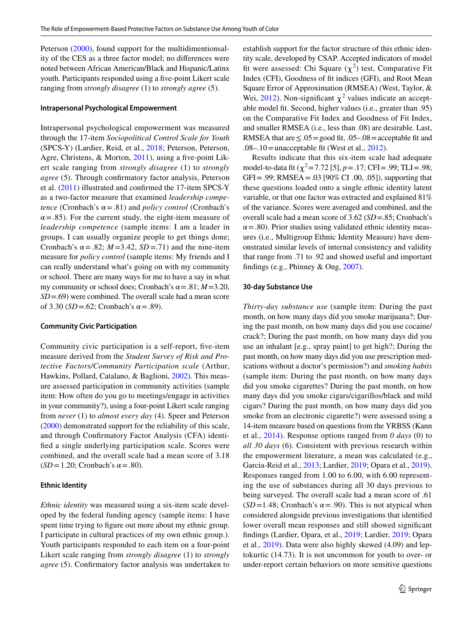Peterson [\(2000\)](#page-14-9), found support for the multidimentionsality of the CES as a three factor model; no diferences were noted between African American/Black and Hispanic/Latinx youth. Participants responded using a fve-point Likert scale ranging from *strongly disagree* (1) to *strongly agree* (5).

#### **Intrapersonal Psychological Empowerment**

Intrapersonal psychological empowerment was measured through the 17-item *Sociopolitical Control Scale for Youth* (SPCS-Y) (Lardier, Reid, et al., [2018;](#page-13-19) Peterson, Peterson, Agre, Christens, & Morton, [2011](#page-13-24)), using a five-point Likert scale ranging from *strongly disagree* (1) to *strongly agree* (5). Through confrmatory factor analysis, Peterson et al. ([2011\)](#page-13-24) illustrated and confrmed the 17-item SPCS-Y as a two-factor measure that examined *leadership competence* (Cronbach's α=.81) and *policy control* (Cronbach's  $\alpha$  = .85). For the current study, the eight-item measure of *leadership competence* (sample items: I am a leader in groups. I can usually organize people to get things done; Cronbach's  $\alpha$  = .82;  $M$  = 3.42,  $SD$  = .71) and the nine-item measure for *policy control* (sample items: My friends and I can really understand what's going on with my community or school. There are many ways for me to have a say in what my community or school does; Cronbach's  $\alpha = .81$ ;  $M = 3.20$ , *SD*=.69) were combined. The overall scale had a mean score of 3.30 ( $SD = .62$ ; Cronbach's  $\alpha = .89$ ).

#### **Community Civic Participation**

Community civic participation is a self-report, fve-item measure derived from the *Student Survey of Risk and Protective Factors/Community Participation scale* (Arthur, Hawkins, Pollard, Catalano, & Baglioni, [2002](#page-11-6)). This measure assessed participation in community activities (sample item: How often do you go to meetings/engage in activities in your community?), using a four-point Likert scale ranging from *never* (1) to *almost every day* (4). Speer and Peterson [\(2000](#page-14-9)) demonstrated support for the reliability of this scale, and through Confrmatory Factor Analysis (CFA) identifed a single underlying participation scale. Scores were combined, and the overall scale had a mean score of 3.18  $(SD=1.20;$  Cronbach's  $\alpha = .80$ ).

#### **Ethnic Identity**

*Ethnic identity* was measured using a six-item scale developed by the federal funding agency (sample items: I have spent time trying to figure out more about my ethnic group. I participate in cultural practices of my own ethnic group.). Youth participants responded to each item on a four-point Likert scale ranging from *strongly disagree* (1) to *strongly agree* (5). Confrmatory factor analysis was undertaken to establish support for the factor structure of this ethnic identity scale, developed by CSAP. Accepted indicators of model fit were assessed: Chi Square  $(\chi^2)$  test, Comparative Fit Index (CFI), Goodness of ft indices (GFI), and Root Mean Square Error of Approximation (RMSEA) (West, Taylor, & Wei, [2012\)](#page-14-20). Non-significant  $\chi^2$  values indicate an acceptable model ft. Second, higher values (i.e., greater than .95) on the Comparative Fit Index and Goodness of Fit Index, and smaller RMSEA (i.e., less than .08) are desirable. Last, RMSEA that are  $\leq 0.05$  = good fit,  $0.05 - 0.08$  = acceptable fit and  $.08 - .10 =$ unacceptable fit (West et al., [2012\)](#page-14-20).

Results indicate that this six-item scale had adequate model-to-data fit  $(\chi^2 = 7.72 \text{ [5]}, p = .17; \text{CFI} = .99; \text{TLI} = .98;$ GFI=.99; RMSEA=.03 [90% CI .00, .05]), supporting that these questions loaded onto a single ethnic identity latent variable, or that one factor was extracted and explained 81% of the variance. Scores were averaged and combined, and the overall scale had a mean score of 3.62 (*SD*=.85; Cronbach's  $\alpha$  = .80). Prior studies using validated ethnic identity measures (i.e., Multigroup Ethnic Identity Measure) have demonstrated similar levels of internal consistency and validity that range from .71 to .92 and showed useful and important fndings (e.g., Phinney & Ong, [2007](#page-13-25)).

## **30‑day Substance Use**

*Thirty*-*day substance use* (sample item: During the past month, on how many days did you smoke marijuana?; During the past month, on how many days did you use cocaine/ crack?; During the past month, on how many days did you use an inhalant [e.g., spray paint] to get high?; During the past month, on how many days did you use prescription medications without a doctor's permission?) and *smoking habits* (sample item: During the past month, on how many days did you smoke cigarettes? During the past month, on how many days did you smoke cigars/cigarillos/black and mild cigars? During the past month, on how many days did you smoke from an electronic cigarette?) were assessed using a 14-item measure based on questions from the YRBSS (Kann et al., [2014\)](#page-12-0). Response options ranged from *0 days* (0) to *all 30 days* (6). Consistent with previous research within the empowerment literature, a mean was calculated (e.g., Garcia-Reid et al., [2013](#page-12-23); Lardier, [2019;](#page-13-3) Opara et al., [2019](#page-13-4)). Responses ranged from 1.00 to 6.00, with 6.00 representing the use of substances during all 30 days previous to being surveyed. The overall scale had a mean score of .61 ( $SD = 1.48$ ; Cronbach's  $\alpha = .90$ ). This is not atypical when considered alongside previous investigations that identifed lower overall mean responses and still showed signifcant fndings (Lardier, Opara, et al., [2019;](#page-13-26) Lardier, [2019](#page-13-3); Opara et al., [2019](#page-13-4)). Data were also highly skewed (4.09) and leptokurtic (14.73). It is not uncommon for youth to over- or under-report certain behaviors on more sensitive questions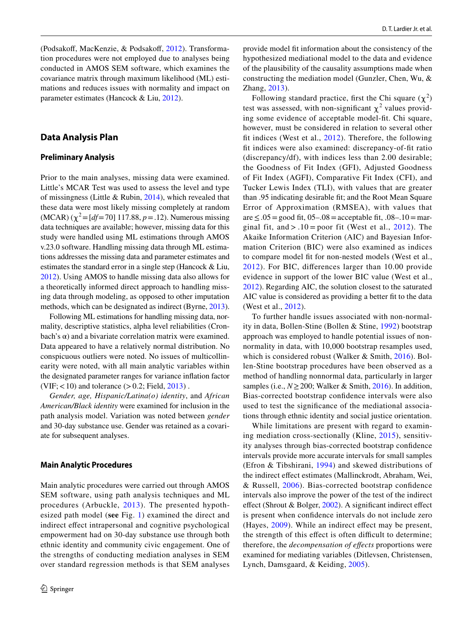(Podsakoff, MacKenzie, & Podsakoff, [2012\)](#page-13-27). Transformation procedures were not employed due to analyses being conducted in AMOS SEM software, which examines the covariance matrix through maximum likelihood (ML) estimations and reduces issues with normality and impact on parameter estimates (Hancock & Liu, [2012\)](#page-12-24).

## **Data Analysis Plan**

## **Preliminary Analysis**

Prior to the main analyses, missing data were examined. Little's MCAR Test was used to assess the level and type of missingness (Little & Rubin, [2014\)](#page-13-28), which revealed that these data were most likely missing completely at random  $(MCAR)$  ( $\chi^2 = [df = 70]$  117.88,  $p = .12$ ). Numerous missing data techniques are available; however, missing data for this study were handled using ML estimations through AMOS v.23.0 software. Handling missing data through ML estimations addresses the missing data and parameter estimates and estimates the standard error in a single step (Hancock & Liu, [2012](#page-12-24)). Using AMOS to handle missing data also allows for a theoretically informed direct approach to handling missing data through modeling, as opposed to other imputation methods, which can be designated as indirect (Byrne, [2013](#page-12-25)).

Following ML estimations for handling missing data, normality, descriptive statistics, alpha level reliabilities (Cronbach's α) and a bivariate correlation matrix were examined. Data appeared to have a relatively normal distribution. No conspicuous outliers were noted. No issues of multicollinearity were noted, with all main analytic variables within the designated parameter ranges for variance infation factor (VIF;  $<$  10) and tolerance ( $>$  0.2; Field, [2013\)](#page-12-26).

*Gender, age, Hispanic/Latina(o) identity*, and *African American/Black identity* were examined for inclusion in the path analysis model. Variation was noted between *gender* and 30-day substance use. Gender was retained as a covariate for subsequent analyses.

#### **Main Analytic Procedures**

Main analytic procedures were carried out through AMOS SEM software, using path analysis techniques and ML procedures (Arbuckle, [2013\)](#page-11-7). The presented hypothesized path model (**see** Fig. [1\)](#page-4-0) examined the direct and indirect efect intrapersonal and cognitive psychological empowerment had on 30-day substance use through both ethnic identity and community civic engagement. One of the strengths of conducting mediation analyses in SEM over standard regression methods is that SEM analyses provide model ft information about the consistency of the hypothesized mediational model to the data and evidence of the plausibility of the causality assumptions made when constructing the mediation model (Gunzler, Chen, Wu, & Zhang, [2013\)](#page-12-27).

Following standard practice, first the Chi square  $(\chi^2)$ test was assessed, with non-significant  $\chi^2$  values providing some evidence of acceptable model-ft. Chi square, however, must be considered in relation to several other ft indices (West et al., [2012](#page-14-20)). Therefore, the following ft indices were also examined: discrepancy-of-ft ratio (discrepancy/df), with indices less than 2.00 desirable; the Goodness of Fit Index (GFI), Adjusted Goodness of Fit Index (AGFI), Comparative Fit Index (CFI), and Tucker Lewis Index (TLI), with values that are greater than .95 indicating desirable ft; and the Root Mean Square Error of Approximation (RMSEA), with values that are≤.05=good ft, 05–.08=acceptable ft, .08–.10=marginal fit, and  $> 0.10 =$  poor fit (West et al., [2012](#page-14-20)). The Akaike Information Criterion (AIC) and Bayesian Information Criterion (BIC) were also examined as indices to compare model ft for non-nested models (West et al., [2012\)](#page-14-20). For BIC, diferences larger than 10.00 provide evidence in support of the lower BIC value (West et al., [2012\)](#page-14-20). Regarding AIC, the solution closest to the saturated AIC value is considered as providing a better ft to the data (West et al., [2012](#page-14-20)).

To further handle issues associated with non-normality in data, Bollen-Stine (Bollen & Stine, [1992\)](#page-11-8) bootstrap approach was employed to handle potential issues of nonnormality in data, with 10,000 bootstrap resamples used, which is considered robust (Walker & Smith, [2016](#page-14-21)). Bollen-Stine bootstrap procedures have been observed as a method of handling nonnormal data, particularly in larger samples (i.e.,  $N \ge 200$ ; Walker & Smith, [2016](#page-14-21)). In addition, Bias-corrected bootstrap confdence intervals were also used to test the signifcance of the mediational associations through ethnic identity and social justice orientation.

While limitations are present with regard to examining mediation cross-sectionally (Kline, [2015\)](#page-13-29), sensitivity analyses through bias-corrected bootstrap confdence intervals provide more accurate intervals for small samples (Efron & Tibshirani, [1994](#page-12-28)) and skewed distributions of the indirect effect estimates (Mallinckrodt, Abraham, Wei, & Russell, [2006](#page-13-30)). Bias-corrected bootstrap confdence intervals also improve the power of the test of the indirect effect (Shrout & Bolger,  $2002$ ). A significant indirect effect is present when confdence intervals do not include zero (Hayes, [2009\)](#page-12-29). While an indirect efect may be present, the strength of this effect is often difficult to determine; therefore, the *decompensation of efects* proportions were examined for mediating variables (Ditlevsen, Christensen, Lynch, Damsgaard, & Keiding, [2005\)](#page-12-30).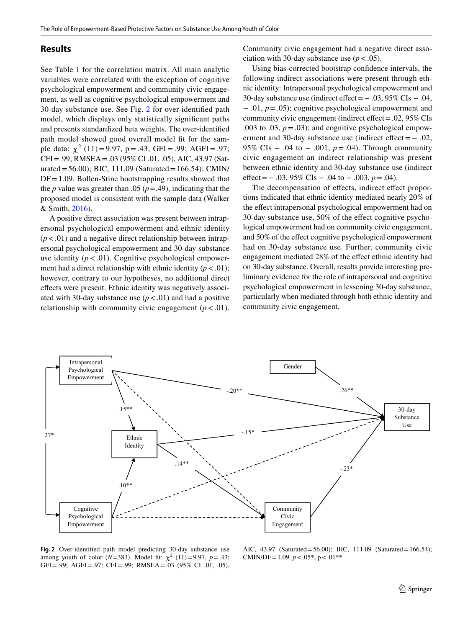## **Results**

See Table [1](#page-5-0) for the correlation matrix. All main analytic variables were correlated with the exception of cognitive psychological empowerment and community civic engagement, as well as cognitive psychological empowerment and 30-day substance use. See Fig. [2](#page-8-0) for over-identifed path model, which displays only statistically signifcant paths and presents standardized beta weights. The over-identifed path model showed good overall model ft for the sample data:  $\chi^2$  (11) = 9.97, p = .43; GFI = .99; AGFI = .97; CFI=.99; RMSEA=.03 (95% CI .01, .05), AIC, 43.97 (Saturated=56.00); BIC, 111.09 (Saturated=166.54); CMIN/  $DF = 1.09$ . Bollen-Stine bootstrapping results showed that the *p* value was greater than .05 ( $p = .49$ ), indicating that the proposed model is consistent with the sample data (Walker & Smith, [2016\)](#page-14-21).

A positive direct association was present between intrapersonal psychological empowerment and ethnic identity  $(p < .01)$  and a negative direct relationship between intrapersonal psychological empowerment and 30-day substance use identity  $(p < .01)$ . Cognitive psychological empowerment had a direct relationship with ethnic identity  $(p < .01)$ ; however, contrary to our hypotheses, no additional direct efects were present. Ethnic identity was negatively associated with 30-day substance use  $(p < .01)$  and had a positive relationship with community civic engagement  $(p < .01)$ .

Community civic engagement had a negative direct association with 30-day substance use  $(p < .05)$ .

Using bias-corrected bootstrap confdence intervals, the following indirect associations were present through ethnic identity: Intrapersonal psychological empowerment and 30-day substance use (indirect efect=− .03, 95% CIs − .04, − .01, *p*=.05); cognitive psychological empowerment and community civic engagement (indirect effect =  $.02, 95\%$  CIs .003 to .03,  $p = .03$ ); and cognitive psychological empowerment and 30-day substance use (indirect effect = − .02, 95% CIs − .04 to − .001, *p*=.04). Through community civic engagement an indirect relationship was present between ethnic identity and 30-day substance use (indirect efect=− .03, 95% CIs − .04 to − .003, *p*=.04).

The decompensation of effects, indirect effect proportions indicated that ethnic identity mediated nearly 20% of the efect intrapersonal psychological empowerment had on 30-day substance use, 50% of the efect cognitive psychological empowerment had on community civic engagement, and 50% of the efect cognitive psychological empowerment had on 30-day substance use. Further, community civic engagement mediated 28% of the efect ethnic identity had on 30-day substance. Overall, results provide interesting preliminary evidence for the role of intrapersonal and cognitive psychological empowerment in lessening 30-day substance, particularly when mediated through both ethnic identity and community civic engagement.



<span id="page-8-0"></span>**Fig. 2** Over-identifed path model predicting 30-day substance use among youth of color ( $N=383$ ). Model fit:  $\chi^2$  (11)=9.97, *p*=.43; GFI=.99; AGFI=.97; CFI=.99; RMSEA=.03 (95% CI .01, .05),

AIC, 43.97 (Saturated=56.00); BIC, 111.09 (Saturated=166.54); CMIN/DF = 1.09.  $p < .05^*$ ,  $p < .01^{**}$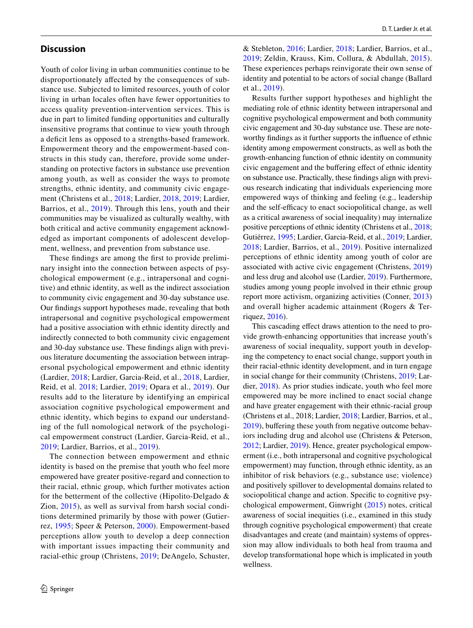Youth of color living in urban communities continue to be disproportionately afected by the consequences of substance use. Subjected to limited resources, youth of color living in urban locales often have fewer opportunities to access quality prevention-intervention services. This is due in part to limited funding opportunities and culturally insensitive programs that continue to view youth through a defcit lens as opposed to a strengths-based framework. Empowerment theory and the empowerment-based constructs in this study can, therefore, provide some understanding on protective factors in substance use prevention among youth, as well as consider the ways to promote strengths, ethnic identity, and community civic engagement (Christens et al., [2018;](#page-12-10) Lardier, [2018,](#page-13-6) [2019](#page-13-3); Lardier, Barrios, et al., [2019\)](#page-13-12). Through this lens, youth and their communities may be visualized as culturally wealthy, with both critical and active community engagement acknowledged as important components of adolescent development, wellness, and prevention from substance use.

These fndings are among the frst to provide preliminary insight into the connection between aspects of psychological empowerment (e.g., intrapersonal and cognitive) and ethnic identity, as well as the indirect association to community civic engagement and 30-day substance use. Our fndings support hypotheses made, revealing that both intrapersonal and cognitive psychological empowerment had a positive association with ethnic identity directly and indirectly connected to both community civic engagement and 30-day substance use. These fndings align with previous literature documenting the association between intrapersonal psychological empowerment and ethnic identity (Lardier, [2018](#page-13-6); Lardier, Garcia-Reid, et al., [2018](#page-13-18), Lardier, Reid, et al. [2018](#page-13-19); Lardier, [2019](#page-13-3); Opara et al., [2019](#page-13-4)). Our results add to the literature by identifying an empirical association cognitive psychological empowerment and ethnic identity, which begins to expand our understanding of the full nomological network of the psychological empowerment construct (Lardier, Garcia-Reid, et al., [2019;](#page-13-13) Lardier, Barrios, et al., [2019\)](#page-13-12).

The connection between empowerment and ethnic identity is based on the premise that youth who feel more empowered have greater positive-regard and connection to their racial, ethnic group, which further motivates action for the betterment of the collective (Hipolito-Delgado & Zion, [2015](#page-12-31)), as well as survival from harsh social conditions determined primarily by those with power (Gutierrez, [1995;](#page-12-12) Speer & Peterson, [2000\)](#page-14-9). Empowerment-based perceptions allow youth to develop a deep connection with important issues impacting their community and racial-ethic group (Christens, [2019](#page-12-5); DeAngelo, Schuster,

& Stebleton, [2016;](#page-12-32) Lardier, [2018;](#page-13-6) Lardier, Barrios, et al., [2019;](#page-13-12) Zeldin, Krauss, Kim, Collura, & Abdullah, [2015](#page-14-23)). These experiences perhaps reinvigorate their own sense of identity and potential to be actors of social change (Ballard et al., [2019\)](#page-11-4).

Results further support hypotheses and highlight the mediating role of ethnic identity between intrapersonal and cognitive psychological empowerment and both community civic engagement and 30-day substance use. These are noteworthy fndings as it further supports the infuence of ethnic identity among empowerment constructs, as well as both the growth-enhancing function of ethnic identity on community civic engagement and the bufering efect of ethnic identity on substance use. Practically, these fndings align with previous research indicating that individuals experiencing more empowered ways of thinking and feeling (e.g., leadership and the self-efficacy to enact sociopolitical change, as well as a critical awareness of social inequality) may internalize positive perceptions of ethnic identity (Christens et al., [2018](#page-12-10); Gutiérrez, [1995;](#page-12-12) Lardier, Garcia-Reid, et al., [2019](#page-13-13); Lardier, [2018;](#page-13-6) Lardier, Barrios, et al., [2019\)](#page-13-12). Positive internalized perceptions of ethnic identity among youth of color are associated with active civic engagement (Christens, [2019\)](#page-12-5) and less drug and alcohol use (Lardier, [2019\)](#page-13-3). Furthermore, studies among young people involved in their ethnic group report more activism, organizing activities (Conner, [2013\)](#page-12-33) and overall higher academic attainment (Rogers & Terriquez, [2016\)](#page-14-24).

This cascading efect draws attention to the need to provide growth-enhancing opportunities that increase youth's awareness of social inequality, support youth in developing the competency to enact social change, support youth in their racial-ethnic identity development, and in turn engage in social change for their community (Christens, [2019](#page-12-5); Lardier, [2018](#page-13-6)). As prior studies indicate, youth who feel more empowered may be more inclined to enact social change and have greater engagement with their ethnic-racial group (Christens et al., 2018; Lardier, [2018](#page-13-6); Lardier, Barrios, et al., [2019](#page-13-12)), buffering these youth from negative outcome behaviors including drug and alcohol use (Christens & Peterson, [2012](#page-12-6); Lardier, [2019](#page-13-3)). Hence, greater psychological empowerment (i.e., both intrapersonal and cognitive psychological empowerment) may function, through ethnic identity, as an inhibitor of risk behaviors (e.g., substance use; violence) and positively spillover to developmental domains related to sociopolitical change and action. Specifc to cognitive psychological empowerment, Ginwright [\(2015\)](#page-12-18) notes, critical awareness of social inequities (i.e., examined in this study through cognitive psychological empowerment) that create disadvantages and create (and maintain) systems of oppression may allow individuals to both heal from trauma and develop transformational hope which is implicated in youth wellness.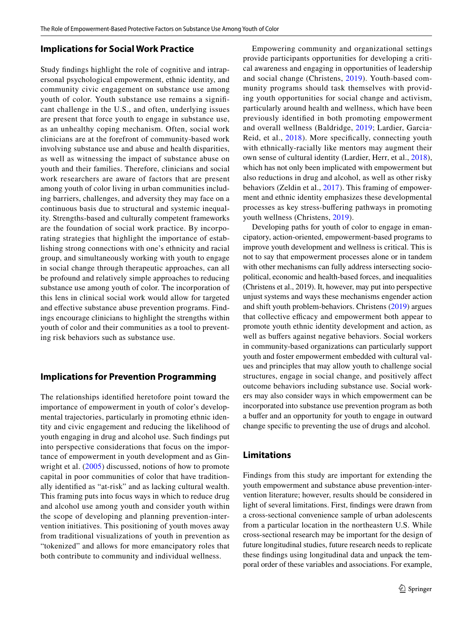# **Implications for Social Work Practice**

Study fndings highlight the role of cognitive and intrapersonal psychological empowerment, ethnic identity, and community civic engagement on substance use among youth of color. Youth substance use remains a signifcant challenge in the U.S., and often, underlying issues are present that force youth to engage in substance use, as an unhealthy coping mechanism. Often, social work clinicians are at the forefront of community-based work involving substance use and abuse and health disparities, as well as witnessing the impact of substance abuse on youth and their families. Therefore, clinicians and social work researchers are aware of factors that are present among youth of color living in urban communities including barriers, challenges, and adversity they may face on a continuous basis due to structural and systemic inequality. Strengths-based and culturally competent frameworks are the foundation of social work practice. By incorporating strategies that highlight the importance of establishing strong connections with one's ethnicity and racial group, and simultaneously working with youth to engage in social change through therapeutic approaches, can all be profound and relatively simple approaches to reducing substance use among youth of color. The incorporation of this lens in clinical social work would allow for targeted and efective substance abuse prevention programs. Findings encourage clinicians to highlight the strengths within youth of color and their communities as a tool to preventing risk behaviors such as substance use.

# **Implications for Prevention Programming**

The relationships identifed heretofore point toward the importance of empowerment in youth of color's developmental trajectories, particularly in promoting ethnic identity and civic engagement and reducing the likelihood of youth engaging in drug and alcohol use. Such fndings put into perspective considerations that focus on the importance of empowerment in youth development and as Gin-wright et al. [\(2005](#page-12-34)) discussed, notions of how to promote capital in poor communities of color that have traditionally identifed as "at-risk" and as lacking cultural wealth. This framing puts into focus ways in which to reduce drug and alcohol use among youth and consider youth within the scope of developing and planning prevention-intervention initiatives. This positioning of youth moves away from traditional visualizations of youth in prevention as "tokenized" and allows for more emancipatory roles that both contribute to community and individual wellness.

Empowering community and organizational settings provide participants opportunities for developing a critical awareness and engaging in opportunities of leadership and social change (Christens, [2019\)](#page-12-5). Youth-based community programs should task themselves with providing youth opportunities for social change and activism, particularly around health and wellness, which have been previously identifed in both promoting empowerment and overall wellness (Baldridge, [2019](#page-11-3); Lardier, Garcia‐ Reid, et al., [2018\)](#page-13-18). More specifcally, connecting youth with ethnically-racially like mentors may augment their own sense of cultural identity (Lardier, Herr, et al., [2018](#page-13-31)), which has not only been implicated with empowerment but also reductions in drug and alcohol, as well as other risky behaviors (Zeldin et al., [2017\)](#page-14-15). This framing of empowerment and ethnic identity emphasizes these developmental processes as key stress-bufering pathways in promoting youth wellness (Christens, [2019\)](#page-12-5).

Developing paths for youth of color to engage in emancipatory, action-oriented, empowerment-based programs to improve youth development and wellness is critical. This is not to say that empowerment processes alone or in tandem with other mechanisms can fully address intersecting sociopolitical, economic and health-based forces, and inequalities (Christens et al., 2019). It, however, may put into perspective unjust systems and ways these mechanisms engender action and shift youth problem-behaviors. Christens [\(2019\)](#page-12-5) argues that collective efficacy and empowerment both appear to promote youth ethnic identity development and action, as well as buffers against negative behaviors. Social workers in community-based organizations can particularly support youth and foster empowerment embedded with cultural values and principles that may allow youth to challenge social structures, engage in social change, and positively afect outcome behaviors including substance use. Social workers may also consider ways in which empowerment can be incorporated into substance use prevention program as both a bufer and an opportunity for youth to engage in outward change specifc to preventing the use of drugs and alcohol.

# **Limitations**

Findings from this study are important for extending the youth empowerment and substance abuse prevention-intervention literature; however, results should be considered in light of several limitations. First, fndings were drawn from a cross-sectional convenience sample of urban adolescents from a particular location in the northeastern U.S. While cross-sectional research may be important for the design of future longitudinal studies, future research needs to replicate these fndings using longitudinal data and unpack the temporal order of these variables and associations. For example,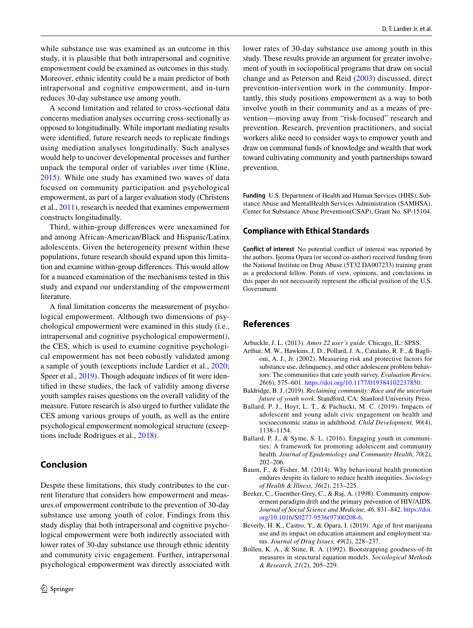while substance use was examined as an outcome in this study, it is plausible that both intrapersonal and cognitive empowerment could be examined as outcomes in this study. Moreover, ethnic identity could be a main predictor of both intrapersonal and cognitive empowerment, and in-turn reduces 30-day substance use among youth.

A second limitation and related to cross-sectional data concerns mediation analyses occurring cross-sectionally as opposed to longitudinally. While important mediating results were identifed, future research needs to replicate fndings using mediation analyses longitudinally. Such analyses would help to uncover developmental processes and further unpack the temporal order of variables over time (Kline, [2015\)](#page-13-29). While one study has examined two waves of data focused on community participation and psychological empowerment, as part of a larger evaluation study (Christens et al., [2011](#page-12-17)), research is needed that examines empowerment constructs longitudinally.

Third, within-group diferences were unexamined for and among African-American/Black and Hispanic/Latinx adolescents. Given the heterogeneity present within these populations, future research should expand upon this limitation and examine within-group diferences. This would allow for a nuanced examination of the mechanisms tested in this study and expand our understanding of the empowerment literature.

A fnal limitation concerns the measurement of psychological empowerment. Although two dimensions of psychological empowerment were examined in this study (i.e., intrapersonal and cognitive psychological empowerment), the CES, which is used to examine cognitive psychological empowerment has not been robustly validated among a sample of youth (exceptions include Lardier et al., [2020](#page-13-14); Speer et al., [2019\)](#page-14-12). Though adequate indices of fit were identifed in these studies, the lack of validity among diverse youth samples raises questions on the overall validity of the measure. Future research is also urged to further validate the CES among various groups of youth, as well as the entire psychological empowerment nomological structure (exceptions include Rodrigues et al., [2018\)](#page-14-19).

# **Conclusion**

Despite these limitations, this study contributes to the current literature that considers how empowerment and measures of empowerment contribute to the prevention of 30-day substance use among youth of color. Findings from this study display that both intrapersonal and cognitive psychological empowerment were both indirectly associated with lower rates of 30-day substance use through ethnic identity and community civic engagement. Further, intrapersonal psychological empowerment was directly associated with lower rates of 30-day substance use among youth in this study. These results provide an argument for greater involvement of youth in sociopolitical programs that draw on social change and as Peterson and Reid ([2003](#page-13-32)) discussed, direct prevention-intervention work in the community. Importantly, this study positions empowerment as a way to both involve youth in their community and as a means of prevention—moving away from "risk-focused" research and prevention. Research, prevention practitioners, and social workers alike need to consider ways to empower youth and draw on communal funds of knowledge and wealth that work toward cultivating community and youth partnerships toward prevention.

**Funding** U.S. Department of Health and Human Services (HHS), Substance Abuse and MentalHealth Services Administration (SAMHSA), Center for Substance Abuse Prevention(CSAP), Grant No. SP-15104.

#### **Compliance with Ethical Standards**

**Conflict of interest** No potential confict of interest was reported by the authors. Ijeoma Opara (or second co-author) received funding from the National Institute on Drug Abuse (5T32 DA007233) training grant as a predoctoral fellow. Points of view, opinions, and conclusions in this paper do not necessarily represent the official position of the U.S. Government.

## **References**

- <span id="page-11-7"></span>Arbuckle, J. L. (2013). *Amos 22 user's guide*. Chicago, IL: SPSS.
- <span id="page-11-6"></span>Arthur, M. W., Hawkins, J. D., Pollard, J. A., Catalano, R. F., & Baglioni, A. J., Jr. (2002). Measuring risk and protective factors for substance use, delinquency, and other adolescent problem behaviors: The communities that care youth survey. *Evaluation Review, 26*(6), 575–601. <https://doi.org/10.1177/019384102237850>.
- <span id="page-11-3"></span>Baldridge, B. J. (2019). *Reclaiming community: Race and the uncertain future of youth work*. Standford, CA: Stanford University Press.
- <span id="page-11-4"></span>Ballard, P. J., Hoyt, L. T., & Pachucki, M. C. (2019). Impacts of adolescent and young adult civic engagement on health and socioeconomic status in adulthood. *Child Development, 90*(4), 1138–1154.
- <span id="page-11-2"></span>Ballard, P. J., & Syme, S. L. (2016). Engaging youth in communities: A framework for promoting adolescent and community health. *Journal of Epidemiology and Community Health, 70*(2), 202–206.
- <span id="page-11-1"></span>Baum, F., & Fisher, M. (2014). Why behavioural health promotion endures despite its failure to reduce health inequities. *Sociology of Health & Illness, 36*(2), 213–225.
- <span id="page-11-5"></span>Beeker, C., Guenther-Grey, C., & Raj, A. (1998). Community empowerment paradigm drift and the primary prevention of HIV/AIDS. *Journal of Social Science and Medicine, 46,* 831–842. [https://doi.](https://doi.org/10.1016/S0277-9536(97)00208-6) [org/10.1016/S0277-9536\(97\)00208-6.](https://doi.org/10.1016/S0277-9536(97)00208-6)
- <span id="page-11-0"></span>Beverly, H. K., Castro, Y., & Opara, I. (2019). Age of frst marijuana use and its impact on education attainment and employment status. *Journal of Drug Issues, 49*(2), 228–237.
- <span id="page-11-8"></span>Bollen, K. A., & Stine, R. A. (1992). Bootstrapping goodness-of-ft measures in structural equation models. *Sociological Methods & Research, 21*(2), 205–229.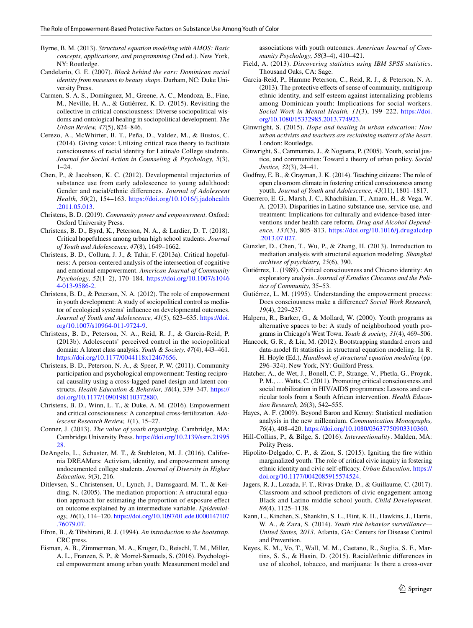- <span id="page-12-25"></span>Byrne, B. M. (2013). *Structural equation modeling with AMOS: Basic concepts, applications, and programming* (2nd ed.). New York, NY: Routledge.
- <span id="page-12-14"></span>Candelario, G. E. (2007). *Black behind the ears: Dominican racial identity from museums to beauty shops*. Durham, NC: Duke University Press.
- <span id="page-12-11"></span>Carmen, S. A. S., Domínguez, M., Greene, A. C., Mendoza, E., Fine, M., Neville, H. A., & Gutiérrez, K. D. (2015). Revisiting the collective in critical consciousness: Diverse sociopolitical wisdoms and ontological healing in sociopolitical development. *The Urban Review, 47*(5), 824–846.
- <span id="page-12-16"></span>Cerezo, A., McWhirter, B. T., Peña, D., Valdez, M., & Bustos, C. (2014). Giving voice: Utilizing critical race theory to facilitate consciousness of racial identity for Latina/o College students. *Journal for Social Action in Counseling & Psychology, 5*(3), 1–24.
- <span id="page-12-3"></span>Chen, P., & Jacobson, K. C. (2012). Developmental trajectories of substance use from early adolescence to young adulthood: Gender and racial/ethnic diferences. *Journal of Adolescent Health, 50*(2), 154–163. [https://doi.org/10.1016/j.jadohealth](https://doi.org/10.1016/j.jadohealth.2011.05.013) [.2011.05.013.](https://doi.org/10.1016/j.jadohealth.2011.05.013)
- <span id="page-12-5"></span>Christens, B. D. (2019). *Community power and empowerment*. Oxford: Oxford University Press.
- <span id="page-12-10"></span>Christens, B. D., Byrd, K., Peterson, N. A., & Lardier, D. T. (2018). Critical hopefulness among urban high school students. *Journal of Youth and Adolescence, 47*(8), 1649–1662.
- <span id="page-12-8"></span>Christens, B. D., Collura, J. J., & Tahir, F. (2013a). Critical hopefulness: A person-centered analysis of the intersection of cognitive and emotional empowerment. *American Journal of Community Psychology, 52*(1–2), 170–184. [https://doi.org/10.1007/s1046](https://doi.org/10.1007/s10464-013-9586-2) [4-013-9586-2.](https://doi.org/10.1007/s10464-013-9586-2)
- <span id="page-12-6"></span>Christens, B. D., & Peterson, N. A. (2012). The role of empowerment in youth development: A study of sociopolitical control as mediator of ecological systems' infuence on developmental outcomes. *Journal of Youth and Adolescence, 41*(5), 623–635. [https://doi.](https://doi.org/10.1007/s10964-011-9724-9) [org/10.1007/s10964-011-9724-9](https://doi.org/10.1007/s10964-011-9724-9).
- <span id="page-12-9"></span>Christens, B. D., Peterson, N. A., Reid, R. J., & Garcia-Reid, P. (2013b). Adolescents' perceived control in the sociopolitical domain: A latent class analysis. *Youth & Society, 47*(4), 443–461. <https://doi.org/10.1177/0044118x12467656>.
- <span id="page-12-17"></span>Christens, B. D., Peterson, N. A., & Speer, P. W. (2011). Community participation and psychological empowerment: Testing reciprocal causality using a cross-lagged panel design and latent constructs. *Health Education & Behavior, 38*(4), 339–347. [https://](https://doi.org/10.1177/1090198110372880) [doi.org/10.1177/1090198110372880](https://doi.org/10.1177/1090198110372880).
- <span id="page-12-20"></span>Christens, B. D., Winn, L. T., & Duke, A. M. (2016). Empowerment and critical consciousness: A conceptual cross-fertilization. *Adolescent Research Review, 1*(1), 15–27.
- <span id="page-12-33"></span>Conner, J. (2013). *The value of youth organizing*. Cambridge, MA: Cambridge University Press. [https://doi.org/10.2139/ssrn.21995](https://doi.org/10.2139/ssrn.2199528) [28](https://doi.org/10.2139/ssrn.2199528).
- <span id="page-12-32"></span>DeAngelo, L., Schuster, M. T., & Stebleton, M. J. (2016). California DREAMers: Activism, identity, and empowerment among undocumented college students. *Journal of Diversity in Higher Education, 9*(3), 216.
- <span id="page-12-30"></span>Ditlevsen, S., Christensen, U., Lynch, J., Damsgaard, M. T., & Keiding, N. (2005). The mediation proportion: A structural equation approach for estimating the proportion of exposure efect on outcome explained by an intermediate variable. *Epidemiology, 16*(1), 114–120. [https://doi.org/10.1097/01.ede.0000147107](https://doi.org/10.1097/01.ede.0000147107.76079.07) [.76079.07.](https://doi.org/10.1097/01.ede.0000147107.76079.07)
- <span id="page-12-28"></span>Efron, B., & Tibshirani, R. J. (1994). *An introduction to the bootstrap*. CRC press.
- <span id="page-12-7"></span>Eisman, A. B., Zimmerman, M. A., Kruger, D., Reischl, T. M., Miller, A. L., Franzen, S. P., & Morrel-Samuels, S. (2016). Psychological empowerment among urban youth: Measurement model and

associations with youth outcomes. *American Journal of Community Psychology, 58*(3–4), 410–421.

- <span id="page-12-26"></span>Field, A. (2013). *Discovering statistics using IBM SPSS statistics*. Thousand Oaks, CA: Sage.
- <span id="page-12-23"></span>Garcia-Reid, P., Hamme Peterson, C., Reid, R. J., & Peterson, N. A. (2013). The protective efects of sense of community, multigroup ethnic identity, and self-esteem against internalizing problems among Dominican youth: Implications for social workers. *Social Work in Mental Health, 11*(3), 199–222. [https://doi.](https://doi.org/10.1080/15332985.2013.774923) [org/10.1080/15332985.2013.774923](https://doi.org/10.1080/15332985.2013.774923).

<span id="page-12-18"></span>Ginwright, S. (2015). *Hope and healing in urban education: How urban activists and teachers are reclaiming matters of the heart*. London: Routledge.

- <span id="page-12-34"></span>Ginwright, S., Cammarota, J., & Noguera, P. (2005). Youth, social justice, and communities: Toward a theory of urban policy. *Social Justice, 32*(3), 24–41.
- <span id="page-12-21"></span>Godfrey, E. B., & Grayman, J. K. (2014). Teaching citizens: The role of open classroom climate in fostering critical consciousness among youth. *Journal of Youth and Adolescence, 43*(11), 1801–1817.
- <span id="page-12-2"></span>Guerrero, E. G., Marsh, J. C., Khachikian, T., Amaro, H., & Vega, W. A. (2013). Disparities in Latino substance use, service use, and treatment: Implications for culturally and evidence-based interventions under health care reform. *Drug and Alcohol Dependence, 133*(3), 805–813. [https://doi.org/10.1016/j.drugalcdep](https://doi.org/10.1016/j.drugalcdep.2013.07.027) [.2013.07.027.](https://doi.org/10.1016/j.drugalcdep.2013.07.027)
- <span id="page-12-27"></span>Gunzler, D., Chen, T., Wu, P., & Zhang, H. (2013). Introduction to mediation analysis with structural equation modeling. *Shanghai archives of psychiatry, 25*(6), 390.
- <span id="page-12-13"></span>Gutiérrez, L. (1989). Critical consciousness and Chicano identity: An exploratory analysis. *Journal of Estudios Chicanos and the Politics of Community*, 35–53.
- <span id="page-12-12"></span>Gutiérrez, L. M. (1995). Understanding the empowerment process: Does consciousness make a diference? *Social Work Research, 19*(4), 229–237.
- <span id="page-12-4"></span>Halpern, R., Barker, G., & Mollard, W. (2000). Youth programs as alternative spaces to be: A study of neighborhood youth programs in Chicago's West Town. *Youth & society, 31*(4), 469–506.
- <span id="page-12-24"></span>Hancock, G. R., & Liu, M. (2012). Bootstrapping standard errors and data-model ft statistics in structural equation modeling. In R. H. Hoyle (Ed.), *Handbook of structural equation modeling* (pp. 296–324). New York, NY: Guilford Press.
- <span id="page-12-22"></span>Hatcher, A., de Wet, J., Bonell, C. P., Strange, V., Phetla, G., Proynk, P. M., … Watts, C. (2011). Promoting critical consciousness and social mobilization in HIV/AIDS programmes: Lessons and curricular tools from a South African intervention. *Health Education Research, 26*(3), 542–555.
- <span id="page-12-29"></span>Hayes, A. F. (2009). Beyond Baron and Kenny: Statistical mediation analysis in the new millennium. *Communication Monographs, 76*(4), 408–420. [https://doi.org/10.1080/03637750903310360.](https://doi.org/10.1080/03637750903310360)
- <span id="page-12-15"></span>Hill-Collins, P., & Bilge, S. (2016). *Intersectionality*. Malden, MA: Polity Press.
- <span id="page-12-31"></span>Hipolito-Delgado, C. P., & Zion, S. (2015). Igniting the fre within marginalized youth: The role of critical civic inquiry in fostering ethnic identity and civic self-efficacy. *Urban Education*. [https://](https://doi.org/10.1177/0042085915574524) [doi.org/10.1177/0042085915574524.](https://doi.org/10.1177/0042085915574524)
- <span id="page-12-19"></span>Jagers, R. J., Lozada, F. T., Rivas-Drake, D., & Guillaume, C. (2017). Classroom and school predictors of civic engagement among Black and Latino middle school youth. *Child Development, 88*(4), 1125–1138.
- <span id="page-12-0"></span>Kann, L., Kinchen, S., Shanklin, S. L., Flint, K. H., Hawkins, J., Harris, W. A., & Zaza, S. (2014). *Youth risk behavior surveillance— United States, 2013*. Atlanta, GA: Centers for Disease Control and Prevention.
- <span id="page-12-1"></span>Keyes, K. M., Vo, T., Wall, M. M., Caetano, R., Suglia, S. F., Martins, S. S., & Hasin, D. (2015). Racial/ethnic diferences in use of alcohol, tobacco, and marijuana: Is there a cross-over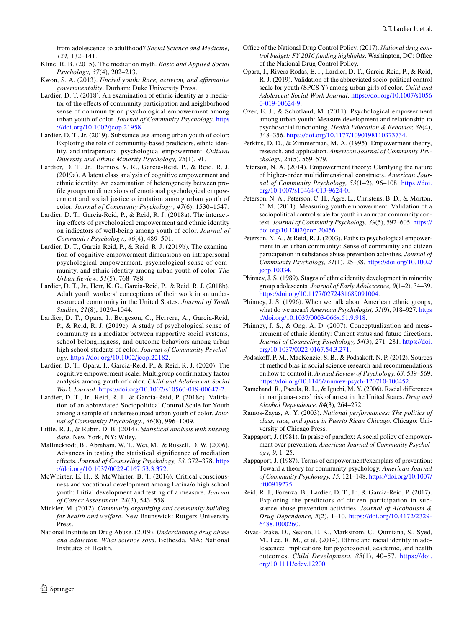from adolescence to adulthood? *Social Science and Medicine, 124,* 132–141.

- <span id="page-13-29"></span>Kline, R. B. (2015). The mediation myth. *Basic and Applied Social Psychology, 37*(4), 202–213.
- <span id="page-13-21"></span>Kwon, S. A. (2013). *Uncivil youth: Race, activism, and afrmative governmentality*. Durham: Duke University Press.
- <span id="page-13-6"></span>Lardier, D. T. (2018). An examination of ethnic identity as a mediator of the efects of community participation and neighborhood sense of community on psychological empowerment among urban youth of color. *Journal of Community Psychology*. [https](https://doi.org/10.1002/jcop.21958) [://doi.org/10.1002/jcop.21958.](https://doi.org/10.1002/jcop.21958)
- <span id="page-13-3"></span>Lardier, D. T., Jr. (2019). Substance use among urban youth of color: Exploring the role of community-based predictors, ethnic identity, and intrapersonal psychological empowerment. *Cultural Diversity and Ethnic Minority Psychology, 25*(1), 91.
- <span id="page-13-12"></span>Lardier, D. T., Jr., Barrios, V. R., Garcia-Reid, P., & Reid, R. J. (2019a). A latent class analysis of cognitive empowerment and ethnic identity: An examination of heterogeneity between profle groups on dimensions of emotional psychological empowerment and social justice orientation among urban youth of color. *Journal of Community Psychology., 47*(6), 1530–1547.
- <span id="page-13-18"></span>Lardier, D. T., Garcia-Reid, P., & Reid, R. J. (2018a). The interacting efects of psychological empowerment and ethnic identity on indicators of well-being among youth of color. *Journal of Community Psychology., 46*(4), 489–501.
- <span id="page-13-13"></span>Lardier, D. T., Garcia-Reid, P., & Reid, R. J. (2019b). The examination of cognitive empowerment dimensions on intrapersonal psychological empowerment, psychological sense of community, and ethnic identity among urban youth of color. *The Urban Review, 51*(5), 768–788.
- <span id="page-13-31"></span>Lardier, D. T., Jr., Herr, K. G., Garcia-Reid, P., & Reid, R. J. (2018b). Adult youth workers' conceptions of their work in an underresourced community in the United States. *Journal of Youth Studies, 21*(8), 1029–1044.
- <span id="page-13-26"></span>Lardier, D. T., Opara, I., Bergeson, C., Herrera, A., Garcia-Reid, P., & Reid, R. J. (2019c). A study of psychological sense of community as a mediator between supportive social systems, school belongingness, and outcome behaviors among urban high school students of color. *Journal of Community Psychology*. <https://doi.org/10.1002/jcop.22182>.
- <span id="page-13-14"></span>Lardier, D. T., Opara, I., Garcia-Reid, P., & Reid, R. J. (2020). The cognitive empowerment scale: Multigroup confrmatory factor analysis among youth of color. *Child and Adolescent Social Work Journal*. [https://doi.org/10.1007/s10560-019-00647-2.](https://doi.org/10.1007/s10560-019-00647-2)
- <span id="page-13-19"></span>Lardier, D. T., Jr., Reid, R. J., & Garcia-Reid, P. (2018c). Validation of an abbreviated Sociopolitical Control Scale for Youth among a sample of underresourced urban youth of color. *Journal of Community Psychology., 46*(8), 996–1009.
- <span id="page-13-28"></span>Little, R. J., & Rubin, D. B. (2014). *Statistical analysis with missing data*. New York, NY: Wiley.
- <span id="page-13-30"></span>Mallinckrodt, B., Abraham, W. T., Wei, M., & Russell, D. W. (2006). Advances in testing the statistical signifcance of mediation efects. *Journal of Counseling Psychology, 53,* 372–378. [https](https://doi.org/10.1037/0022-0167.53.3.372) [://doi.org/10.1037/0022-0167.53.3.372.](https://doi.org/10.1037/0022-0167.53.3.372)
- <span id="page-13-23"></span>McWhirter, E. H., & McWhirter, B. T. (2016). Critical consciousness and vocational development among Latina/o high school youth: Initial development and testing of a measure. *Journal of Career Assessment, 24*(3), 543–558.
- <span id="page-13-20"></span>Minkler, M. (2012). *Community organizing and community building for health and welfare*. New Brunswick: Rutgers University Press.
- <span id="page-13-1"></span>National Institute on Drug Abuse. (2019). *Understanding drug abuse and addiction. What science says*. Bethesda, MA: National Institutes of Health.
- <span id="page-13-0"></span>Office of the National Drug Control Policy. (2017). *National drug control budget: FY 2016 funding highlights*. Washington, DC: Office of the National Drug Control Policy.
- <span id="page-13-4"></span>Opara, I., Rivera Rodas, E. I., Lardier, D. T., Garcia-Reid, P., & Reid, R. J. (2019). Validation of the abbreviated socio-political control scale for youth (SPCS-Y) among urban girls of color. *Child and Adolescent Social Work Journal*. [https://doi.org/10.1007/s1056](https://doi.org/10.1007/s10560-019-00624-9) [0-019-00624-9](https://doi.org/10.1007/s10560-019-00624-9).
- <span id="page-13-10"></span>Ozer, E. J., & Schotland, M. (2011). Psychological empowerment among urban youth: Measure development and relationship to psychosocial functioning. *Health Education & Behavior, 38*(4), 348–356. [https://doi.org/10.1177/1090198110373734.](https://doi.org/10.1177/1090198110373734)
- <span id="page-13-11"></span>Perkins, D. D., & Zimmerman, M. A. (1995). Empowerment theory, research, and application. *American Journal of Community Psychology, 23*(5), 569–579.
- <span id="page-13-7"></span>Peterson, N. A. (2014). Empowerment theory: Clarifying the nature of higher-order multidimensional constructs. *American Journal of Community Psychology, 53*(1–2), 96–108. [https://doi.](https://doi.org/10.1007/s10464-013-9624-0) [org/10.1007/s10464-013-9624-0](https://doi.org/10.1007/s10464-013-9624-0).
- <span id="page-13-24"></span>Peterson, N. A., Peterson, C. H., Agre, L., Christens, B. D., & Morton, C. M. (2011). Measuring youth empowerment: Validation of a sociopolitical control scale for youth in an urban community context. *Journal of Community Psychology, 39*(5), 592–605. [https://](https://doi.org/10.1002/jcop.20456) [doi.org/10.1002/jcop.20456](https://doi.org/10.1002/jcop.20456).
- <span id="page-13-32"></span>Peterson, N. A., & Reid, R. J. (2003). Paths to psychological empowerment in an urban community: Sense of community and citizen participation in substance abuse prevention activities. *Journal of Community Psychology, 31*(1), 25–38. [https://doi.org/10.1002/](https://doi.org/10.1002/jcop.10034) icop.10034
- <span id="page-13-15"></span>Phinney, J. S. (1989). Stages of ethnic identity development in minority group adolescents. *Journal of Early Adolescence, 9*(1–2), 34–39. <https://doi.org/10.1177/0272431689091004>.
- <span id="page-13-16"></span>Phinney, J. S. (1996). When we talk about American ethnic groups, what do we mean? *American Psychologist, 51*(9), 918–927. [https](https://doi.org/10.1037/0003-066x.51.9.918) [://doi.org/10.1037/0003-066x.51.9.918.](https://doi.org/10.1037/0003-066x.51.9.918)
- <span id="page-13-25"></span>Phinney, J. S., & Ong, A. D. (2007). Conceptualization and measurement of ethnic identity: Current status and future directions. *Journal of Counseling Psychology, 54*(3), 271–281. [https://doi.](https://doi.org/10.1037/0022-0167.54.3.271) [org/10.1037/0022-0167.54.3.271](https://doi.org/10.1037/0022-0167.54.3.271).
- <span id="page-13-27"></span>Podsakoff, P. M., MacKenzie, S. B., & Podsakoff, N. P. (2012). Sources of method bias in social science research and recommendations on how to control it. *Annual Review of Psychology, 63,* 539–569. [https://doi.org/10.1146/annurev-psych-120710-100452.](https://doi.org/10.1146/annurev-psych-120710-100452)
- <span id="page-13-2"></span>Ramchand, R., Pacula, R. L., & Iguchi, M. Y. (2006). Racial diferences in marijuana-users' risk of arrest in the United States. *Drug and Alcohol Dependence, 84*(3), 264–272.
- <span id="page-13-22"></span>Ramos-Zayas, A. Y. (2003). *National performances: The politics of class, race, and space in Puerto Rican Chicago*. Chicago: University of Chicago Press.
- <span id="page-13-8"></span>Rappaport, J. (1981). In praise of paradox: A social policy of empowerment over prevention. *American Journal of Community Psychology, 9,* 1–25.
- <span id="page-13-9"></span>Rappaport, J. (1987). Terms of empowerment/exemplars of prevention: Toward a theory for community psychology. *American Journal of Community Psychology, 15,* 121–148. [https://doi.org/10.1007/](https://doi.org/10.1007/bf00919275) [bf00919275](https://doi.org/10.1007/bf00919275).
- <span id="page-13-5"></span>Reid, R. J., Forenza, B., Lardier, D. T., Jr., & Garcia-Reid, P. (2017). Exploring the predictors of citizen participation in substance abuse prevention activities. *Journal of Alcoholism & Drug Dependence, 5*(2), 1–10. [https://doi.org/10.4172/2329-](https://doi.org/10.4172/2329-6488.1000260) [6488.1000260](https://doi.org/10.4172/2329-6488.1000260).
- <span id="page-13-17"></span>Rivas-Drake, D., Seaton, E. K., Markstrom, C., Quintana, S., Syed, M., Lee, R. M., et al. (2014). Ethnic and racial identity in adolescence: Implications for psychosocial, academic, and health outcomes. *Child Development, 85*(1), 40–57. [https://doi.](https://doi.org/10.1111/cdev.12200) [org/10.1111/cdev.12200.](https://doi.org/10.1111/cdev.12200)